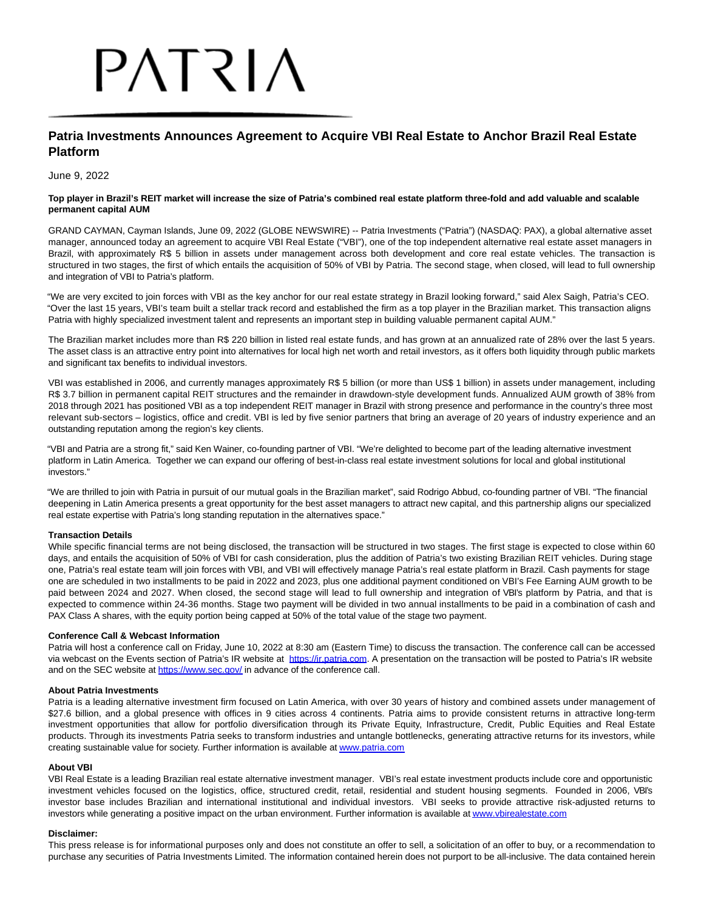# PATRIA

# **Patria Investments Announces Agreement to Acquire VBI Real Estate to Anchor Brazil Real Estate Platform**

June 9, 2022

#### **Top player in Brazil's REIT market will increase the size of Patria's combined real estate platform three-fold and add valuable and scalable permanent capital AUM**

GRAND CAYMAN, Cayman Islands, June 09, 2022 (GLOBE NEWSWIRE) -- Patria Investments ("Patria") (NASDAQ: PAX), a global alternative asset manager, announced today an agreement to acquire VBI Real Estate ("VBI"), one of the top independent alternative real estate asset managers in Brazil, with approximately R\$ 5 billion in assets under management across both development and core real estate vehicles. The transaction is structured in two stages, the first of which entails the acquisition of 50% of VBI by Patria. The second stage, when closed, will lead to full ownership and integration of VBI to Patria's platform.

"We are very excited to join forces with VBI as the key anchor for our real estate strategy in Brazil looking forward," said Alex Saigh, Patria's CEO. "Over the last 15 years, VBI's team built a stellar track record and established the firm as a top player in the Brazilian market. This transaction aligns Patria with highly specialized investment talent and represents an important step in building valuable permanent capital AUM."

The Brazilian market includes more than R\$ 220 billion in listed real estate funds, and has grown at an annualized rate of 28% over the last 5 years. The asset class is an attractive entry point into alternatives for local high net worth and retail investors, as it offers both liquidity through public markets and significant tax benefits to individual investors.

VBI was established in 2006, and currently manages approximately R\$ 5 billion (or more than US\$ 1 billion) in assets under management, including R\$ 3.7 billion in permanent capital REIT structures and the remainder in drawdown-style development funds. Annualized AUM growth of 38% from 2018 through 2021 has positioned VBI as a top independent REIT manager in Brazil with strong presence and performance in the country's three most relevant sub-sectors – logistics, office and credit. VBI is led by five senior partners that bring an average of 20 years of industry experience and an outstanding reputation among the region's key clients.

"VBI and Patria are a strong fit," said Ken Wainer, co-founding partner of VBI. "We're delighted to become part of the leading alternative investment platform in Latin America. Together we can expand our offering of best-in-class real estate investment solutions for local and global institutional investors."

"We are thrilled to join with Patria in pursuit of our mutual goals in the Brazilian market", said Rodrigo Abbud, co-founding partner of VBI. "The financial deepening in Latin America presents a great opportunity for the best asset managers to attract new capital, and this partnership aligns our specialized real estate expertise with Patria's long standing reputation in the alternatives space."

# **Transaction Details**

While specific financial terms are not being disclosed, the transaction will be structured in two stages. The first stage is expected to close within 60 days, and entails the acquisition of 50% of VBI for cash consideration, plus the addition of Patria's two existing Brazilian REIT vehicles. During stage one, Patria's real estate team will join forces with VBI, and VBI will effectively manage Patria's real estate platform in Brazil. Cash payments for stage one are scheduled in two installments to be paid in 2022 and 2023, plus one additional payment conditioned on VBI's Fee Earning AUM growth to be paid between 2024 and 2027. When closed, the second stage will lead to full ownership and integration of VBI's platform by Patria, and that is expected to commence within 24-36 months. Stage two payment will be divided in two annual installments to be paid in a combination of cash and PAX Class A shares, with the equity portion being capped at 50% of the total value of the stage two payment.

# **Conference Call & Webcast Information**

Patria will host a conference call on Friday, June 10, 2022 at 8:30 am (Eastern Time) to discuss the transaction. The conference call can be accessed via webcast on the Events section of Patria's IR website at [https://ir.patria.com.](https://www.globenewswire.com/Tracker?data=R6ZmrkTO1zX22WIkEJlsXTsX7ytgBSAVVZWS-NOmapdxDFSntY68QcNjhhzkNYlYIjzcwrPUzN9P4Rr-rko8AA==) A presentation on the transaction will be posted to Patria's IR website and on the SEC website at [https://www.sec.gov/ i](https://www.globenewswire.com/Tracker?data=R6ZmrkTO1zX22WIkEJlsXSk2Tzm5m5-eAcA14lO5P1nhxScdZxdzXbF5lpbwftPNqtxUnsGED86XIPsldyBo0Q==)n advance of the conference call.

# **About Patria Investments**

Patria is a leading alternative investment firm focused on Latin America, with over 30 years of history and combined assets under management of \$27.6 billion, and a global presence with offices in 9 cities across 4 continents. Patria aims to provide consistent returns in attractive long-term investment opportunities that allow for portfolio diversification through its Private Equity, Infrastructure, Credit, Public Equities and Real Estate products. Through its investments Patria seeks to transform industries and untangle bottlenecks, generating attractive returns for its investors, while creating sustainable value for society. Further information is available a[t www.patria.com](https://www.globenewswire.com/Tracker?data=WVCnY5M4KnhyD3c2jFKSDlf1N82JYrIZygrcQxok0h4OKqCdpMXD7pXVFMNhzmTE57eWXY7hEyWUwHuXOrYbRQ==)

# **About VBI**

VBI Real Estate is a leading Brazilian real estate alternative investment manager. VBI's real estate investment products include core and opportunistic investment vehicles focused on the logistics, office, structured credit, retail, residential and student housing segments. Founded in 2006, VBI's investor base includes Brazilian and international institutional and individual investors. VBI seeks to provide attractive risk-adjusted returns to investors while generating a positive impact on the urban environment. Further information is available a[t www.vbirealestate.com](https://www.globenewswire.com/Tracker?data=c4JoOV1oAqN0Z0NoKP1HmAel-HYhd0XXMGd_2e15tYyekokeT6GAFx_qk3NXYxkalbyFF1oX-TtGZvD_wTnNjfn8huS-eE1lTD3kqAdzgu8=)

# **Disclaimer:**

This press release is for informational purposes only and does not constitute an offer to sell, a solicitation of an offer to buy, or a recommendation to purchase any securities of Patria Investments Limited. The information contained herein does not purport to be all-inclusive. The data contained herein